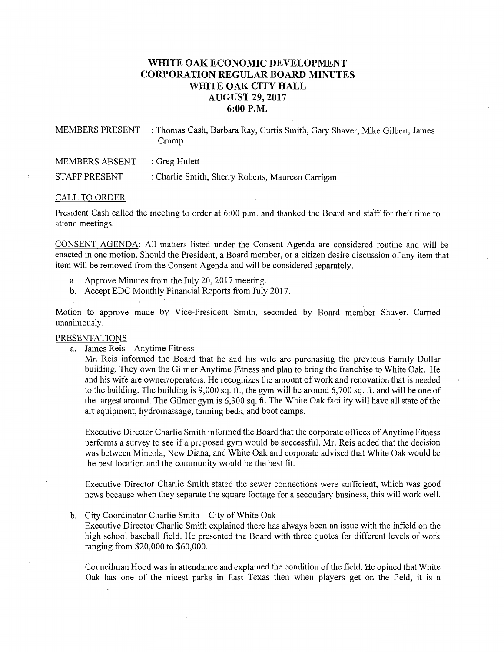## **WHITE OAK ECONOMIC DEVELOPMENT CORPORATION REGULAR BOARD MINUTES WHITE OAK CITY HALL AUGUST 29, 2017 6:00P.M.**

MEMBERS PRESENT : Thomas Cash, Barbara Ray, Curtis Smith, Gary Shaver, Mike Gilbert, James Crump

STAFF PRESENT : Charlie Smith, Sherry Roberts, Maureen Carrigan

## CALL TO ORDER

President Cash called the meeting to order at 6:00 p.m. and thanked the Board and staff for their time to attend meetings.

CONSENT AGENDA: All matters listed under the Consent Agenda are considered routine and will be enacted in one motion. Should the President, a Board member, or a citizen desire discussion of any item that item will be removed from the Consent Agenda and will be considered separately.

- a. Approve Minutes from the July 20, 2017 meeting.
- b. Accept EDC Monthly Financial Reports from July 2017.

Motion to approve made by Vice-President Smith, seconded by Board member Shaver. Carried unanimously.

## PRESENTATIONS

a. James Reis- Anytime Fitness

Mr. Reis informed the Board that he and his wife are purchasing the previous Family Dollar building. They own the Gilmer Anytime Fitness and plan to bring the franchise to White Oak. He and his wife are owner/operators. He recognizes the amount of work and renovation that is needed to the building. The building is 9,000 sq. ft., the gym will be around 6, 700 sq. ft. and will be one of the largest around. The Gilmer gym is 6,300 sq. ft. The White Oak facility will have all state ofthe art equipment, hydromassage, tanning beds, and boot camps.

Executive Director Charlie Smith informed the Board that the corporate offices of Anytime Fitness performs a survey to see if a proposed gym would be successful. Mr. Reis added that the decision was between Mineola, New Diana, and White Oak and corporate advised that White Oak would be the best location and the community would be the best fit.

Executive Director Charlie Smith stated the sewer connections were sufficient, which was good news because when they separate the square footage for a secondary business, this will work well.

b. City Coordinator Charlie Smith- City of White Oak

Executive Director Charlie Smith explained there has always been an issue with the infield on the high school baseball field. He presented the Board with three quotes for different levels of work ranging from \$20,000 to \$60,000.

Councilman Hood was in attendance and explained the condition of the field. He opined that White Oak has one of the nicest parks in East Texas then when players get on the field, it is a